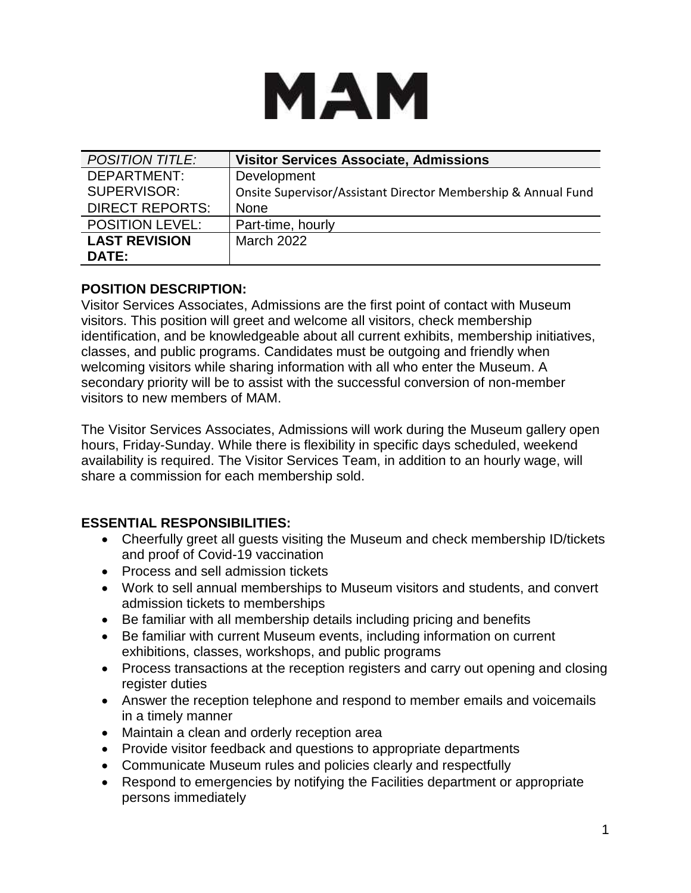# MAM

| <b>POSITION TITLE:</b> | <b>Visitor Services Associate, Admissions</b>                 |
|------------------------|---------------------------------------------------------------|
| DEPARTMENT:            | Development                                                   |
| SUPERVISOR:            | Onsite Supervisor/Assistant Director Membership & Annual Fund |
| <b>DIRECT REPORTS:</b> | <b>None</b>                                                   |
| <b>POSITION LEVEL:</b> | Part-time, hourly                                             |
| <b>LAST REVISION</b>   | March 2022                                                    |
| <b>DATE:</b>           |                                                               |

## **POSITION DESCRIPTION:**

Visitor Services Associates, Admissions are the first point of contact with Museum visitors. This position will greet and welcome all visitors, check membership identification, and be knowledgeable about all current exhibits, membership initiatives, classes, and public programs. Candidates must be outgoing and friendly when welcoming visitors while sharing information with all who enter the Museum. A secondary priority will be to assist with the successful conversion of non-member visitors to new members of MAM.

The Visitor Services Associates, Admissions will work during the Museum gallery open hours, Friday-Sunday. While there is flexibility in specific days scheduled, weekend availability is required. The Visitor Services Team, in addition to an hourly wage, will share a commission for each membership sold.

## **ESSENTIAL RESPONSIBILITIES:**

- Cheerfully greet all guests visiting the Museum and check membership ID/tickets and proof of Covid-19 vaccination
- Process and sell admission tickets
- Work to sell annual memberships to Museum visitors and students, and convert admission tickets to memberships
- Be familiar with all membership details including pricing and benefits
- Be familiar with current Museum events, including information on current exhibitions, classes, workshops, and public programs
- Process transactions at the reception registers and carry out opening and closing register duties
- Answer the reception telephone and respond to member emails and voicemails in a timely manner
- Maintain a clean and orderly reception area
- Provide visitor feedback and questions to appropriate departments
- Communicate Museum rules and policies clearly and respectfully
- Respond to emergencies by notifying the Facilities department or appropriate persons immediately